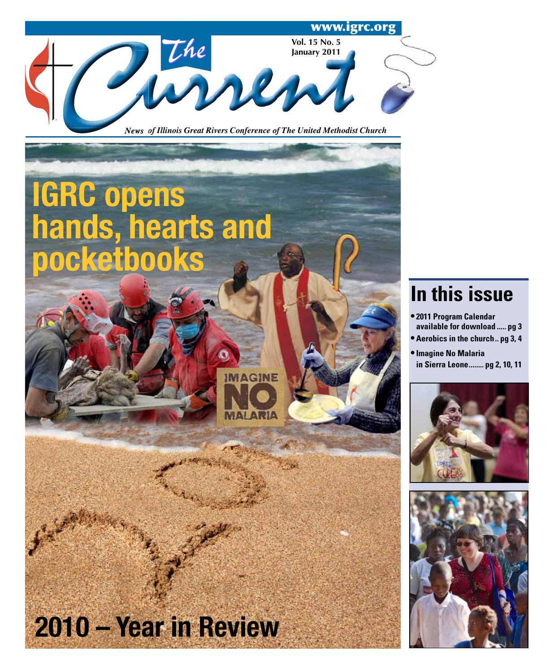

**IGRC opens hands, hearts and pocketbooks IMAGINE 2010 – Year in Review**

# **In this issue**

- **2011 Program Calendar available for download ..... pg 3**
- **Aerobics in the church .. pg 3, 4**
- **Imagine No Malaria in Sierra Leone ........ pg 2, 10, 11**



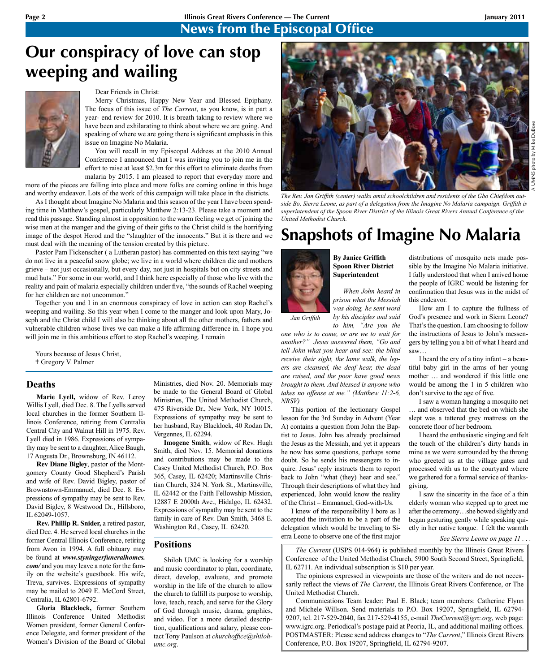## **Page 2 Illinois Great Rivers Conference — The Current January 2011**

## News from the Episcopal Office

# **Our conspiracy of love can stop weeping and wailing**

#### Dear Friends in Christ:

Merry Christmas, Happy New Year and Blessed Epiphany. The focus of this issue of *The Current*, as you know, is in part a year- end review for 2010. It is breath taking to review where we have been and exhilarating to think about where we are going. And speaking of where we are going there is significant emphasis in this issue on Imagine No Malaria.

You will recall in my Episcopal Address at the 2010 Annual Conference I announced that I was inviting you to join me in the effort to raise at least \$2.3m for this effort to eliminate deaths from malaria by 2015. I am pleased to report that everyday more and

more of the pieces are falling into place and more folks are coming online in this huge and worthy endeavor. Lots of the work of this campaign will take place in the districts.

As I thought about Imagine No Malaria and this season of the year I have been spending time in Matthew's gospel, particularly Matthew 2:13-23. Please take a moment and read this passage. Standing almost in opposition to the warm feeling we get of joining the wise men at the manger and the giving of their gifts to the Christ child is the horrifying image of the despot Herod and the "slaughter of the innocents." But it is there and we must deal with the meaning of the tension created by this picture.

Pastor Pam Fickenscher ( a Lutheran pastor) has commented on this text saying "we do not live in a peaceful snow globe; we live in a world where children die and mothers grieve – not just occasionally, but every day, not just in hospitals but on city streets and mud huts." For some in our world, and I think here especially of those who live with the reality and pain of malaria especially children under five, "the sounds of Rachel weeping for her children are not uncommon."

Together you and I in an enormous conspiracy of love in action can stop Rachel's weeping and wailing. So this year when I come to the manger and look upon Mary, Joseph and the Christ child I will also be thinking about all the other mothers, fathers and vulnerable children whose lives we can make a life affirming difference in. I hope you will join me in this ambitious effort to stop Rachel's weeping. I remain

Yours because of Jesus Christ, <sup>†</sup> Gregory V. Palmer

#### **Deaths**

**Marie Lyell,** widow of Rev. Leroy Willis Lyell, died Dec. 8. The Lyells served local churches in the former Southern Illinois Conference, retiring from Centralia Central City and Walnut Hill in 1975. Rev. Lyell died in 1986. Expressions of sympathy may be sent to a daughter, Alice Baugh, 17 Augusta Dr., Brownsburg, IN 46112.

**Rev Diane Bigley**, pastor of the Montgomery County Good Shepherd's Parish and wife of Rev. David Bigley, pastor of Brownstown-Emmanuel, died Dec. 8. Expressions of sympathy may be sent to Rev. David Bigley, 8 Westwood Dr., Hillsboro, IL 62049-1057.

**Rev. Phillip R. Snider,** a retired pastor, died Dec. 4. He served local churches in the former Central Illinois Conference, retiring from Avon in 1994. A full obituary may be found at *www.styningerfuneralhomes. com/* and you may leave a note for the family on the website's guestbook. His wife, Treva, survives. Expressions of sympathy may be mailed to 2049 E. McCord Street, Centralia, IL 62801-6792.

**Gloria Blacklock,** former Southern Illinois Conference United Methodist Women president, former General Conference Delegate, and former president of the Women's Division of the Board of Global

Ministries, died Nov. 20. Memorials may be made to the General Board of Global Ministries, The United Methodist Church, 475 Riverside Dr., New York, NY 10015. Expressions of sympathy may be sent to her husband, Ray Blacklock, 40 Rodan Dr, Vergennes, IL 62294.

**Imogene Smith**, widow of Rev. Hugh Smith, died Nov. 15. Memorial donations and contributions may be made to the Casey United Methodist Church, P.O. Box 365, Casey, IL 62420; Martinsville Christian Church, 324 N. York St., Martinsville, IL 62442 or the Faith Fellowship Mission, 12887 E 2000th Ave., Hidalgo, IL 62432. Expressions of sympathy may be sent to the family in care of Rev. Dan Smith, 3468 E. Washington Rd., Casey, IL 62420.

## **Positions**

Shiloh UMC is looking for a worship and music coordinator to plan, coordinate, direct, develop, evaluate, and promote worship in the life of the church to allow the church to fulfill its purpose to worship, love, teach, reach, and serve for the Glory of God through music, drama, graphics, and video. For a more detailed description, qualifications and salary, please contact Tony Paulson at *churchoffice@shilohumc.org*.



*The Rev. Jan Griffith (center) walks amid schoolchildren and residents of the Gbo Chiefdom outside Bo, Sierra Leone, as part of a delegation from the Imagine No Malaria campaign. Griffith is superintendent of the Spoon River District of the Illinois Great Rivers Annual Conference of the United Methodist Church.* 

# **Snapshots of Imagine No Malaria**



*Jan Griffith*

**By Janice Griffith Spoon River District Superintendent**

*When John heard in prison what the Messiah was doing, he sent word by his disciples and said to him, "Are you the* 

*one who is to come, or are we to wait for another?" Jesus answered them, "Go and tell John what you hear and see: the blind receive their sight, the lame walk, the lepers are cleansed, the deaf hear, the dead are raised, and the poor have good news brought to them. And blessed is anyone who takes no offense at me." (Matthew 11:2-6, NRSV)* 

This portion of the lectionary Gospel lesson for the 3rd Sunday in Advent (Year A) contains a question from John the Baptist to Jesus. John has already proclaimed the Jesus as the Messiah, and yet it appears he now has some questions, perhaps some doubt. So he sends his messengers to inquire. Jesus' reply instructs them to report back to John "what (they) hear and see." Through their descriptions of what they had experienced, John would know the reality of the Christ – Emmanuel, God-with-Us.

I knew of the responsibility I bore as I accepted the invitation to be a part of the delegation which would be traveling to Sierra Leone to observe one of the first major distributions of mosquito nets made possible by the Imagine No Malaria initiative. I fully understood that when I arrived home the people of IGRC would be listening for confirmation that Jesus was in the midst of this endeavor.

How am I to capture the fullness of God's presence and work in Sierra Leone? That's the question. I am choosing to follow the instructions of Jesus to John's messengers by telling you a bit of what I heard and saw…

I heard the cry of a tiny infant – a beautiful baby girl in the arms of her young mother … and wondered if this little one would be among the 1 in 5 children who don't survive to the age of five.

I saw a woman hanging a mosquito net … and observed that the bed on which she slept was a tattered grey mattress on the concrete floor of her bedroom.

I heard the enthusiastic singing and felt the touch of the children's dirty hands in mine as we were surrounded by the throng who greeted us at the village gates and processed with us to the courtyard where we gathered for a formal service of thanksgiving.

I saw the sincerity in the face of a thin elderly woman who stepped up to greet me after the ceremony…she bowed slightly and began gesturing gently while speaking quietly in her native tongue. I felt the warmth

*See Sierra Leone on page 11 . . .*

*The Current* (USPS 014-964) is published monthly by the Illinois Great Rivers Conference of the United Methodist Church, 5900 South Second Street, Springfield, IL 62711. An individual subscription is \$10 per year.

The opinions expressed in viewpoints are those of the writers and do not necessarily reflect the views of *The Current*, the Illinois Great Rivers Conference, or The United Methodist Church.

Communications Team leader: Paul E. Black; team members: Catherine Flynn and Michele Willson. Send materials to P.O. Box 19207, Springfield, IL 62794- 9207, tel. 217-529-2040, fax 217-529-4155, e-mail *TheCurrent@igrc.org*, web page: www.igrc.org. Periodical's postage paid at Peoria, IL, and additional mailing offices. POSTMASTER: Please send address changes to "*The Current*," Illinois Great Rivers Conference, P.O. Box 19207, Springfield, IL 62794-9207.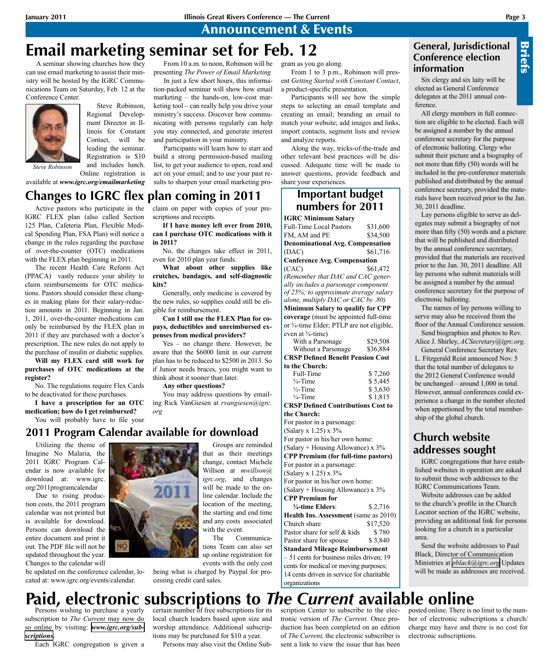Announcement & Events

## **Email marketing seminar set for Feb. 12** From 10 a.m. to noon, Robinson will be

A seminar showing churches how they can use email marketing to assist their ministry will be hosted by the IGRC Communications Team on Saturday, Feb. 12 at the Conference Center.



Steve Robinson, Regional Development Director in Illinois for Constant Contact, will be leading the seminar. Registration is \$10 and includes lunch.

*Steve Robinson*

Online registration is available at *www.igrc.org/emailmarketing*

**Changes to IGRC flex plan coming in 2011**

Active pastors who participate in the IGRC FLEX plan (also called Section 125 Plan, Cafeteria Plan, Flexible Medical Spending Plan, FSA Plan) will notice a change in the rules regarding the purchase of over-the-counter (OTC) medications with the FLEX plan beginning in 2011.

The recent Health Care Reform Act (PPACA) vastly reduces your ability to claim reimbursements for OTC medications. Pastors should consider these changes in making plans for their salary-reduction amounts in 2011. Beginning in Jan. 1, 2011, over-the-counter medications can only be reimbursed by the FLEX plan in 2011 if they are purchased with a doctor's prescription. The new rules do not apply to the purchase of insulin or diabetic supplies.

**Will my FLEX card still work for purchases of OTC medications at the register?**

No. The regulations require Flex Cards to be deactivated for these purchases.

**I have a prescription for an OTC medication; how do I get reimbursed?** You will probably have to file your

claim on paper with copies of your prescriptions and receipts.

and participation in your ministry.

Participants will learn how to start and build a strong permission-based mailing list, to get your audience to open, read and act on your email; and to use your past results to sharpen your email marketing pro-

**If I have money left over from 2010, can I purchase OTC medications with it in 2011?**

presenting *The Power of Email Marketing* In just a few short hours, this information-packed seminar will show how email marketing – the hands-on, low-cost marketing tool – can really help you drive your ministry's success. Discover how communicating with persons regularly can help you stay connected, and generate interest

No, the changes take effect in 2011, even for 2010 plan year funds.

**What about other supplies like crutches, bandages, and self-diagnostic kits?**

Generally, only medicine is covered by the new rules, so supplies could still be eligible for reimbursement.

**Can I still use the FLEX Plan for copays, deductibles and unreimbursed expenses from medical providers?**

Yes – no change there. However, be aware that the \$6000 limit in our current plan has to be reduced to \$2500 in 2013. So if Junior needs braces, you might want to think about it sooner than later.

**Any other questions?** 

You may address questions by emailing Rick VanGiesen at *rvangiesen@igrc. org*

## **2011 Program Calendar available for download**

Utilizing the theme of Imagine No Malaria, the 2011 IGRC Program Calendar is now available for download at: www.igrc. org/2011programcalendar

Due to rising production costs, the 2011 program calendar was not printed but is available for download. Persons can download the entire document and print it out. The PDF file will not be updated throughout the year. Changes to the calendar will

be updated on the conference calendar, located at: www.igrc.org/events/calendar.



Groups are reminded that as their meetings change, contact Michele Willson at *mwillson@ igrc.org*, and changes will be made to the online calendar. Include the location of the meeting, the starting and end time and any costs associated with the event.

The Communications Team can also set up online registration for events with the only cost

being what is charged by Paypal for processing credit card sales.

gram as you go along.

From 1 to 3 p.m., Robinson will present *Getting Started with Constant Contact*, a product-specific presentation.

Participants will see how the simple steps to selecting an email template and creating an email; branding an email to match your website; add images and links, import contacts, segment lists and review and analyze reports.

Along the way, tricks-of-the-trade and other relevant best practices will be discussed. Adequate time will be made to answer questions, provide feedback and share your experiences.

## **Important budget numbers for 2011**

**IGRC Minimum Salary** Full-Time Local Pastors \$31,600 FM, AM and PE \$34,500 **Denominational Avg. Compensation**  (DAC) \$61,716 **Conference Avg. Compensation** (CAC) \$61,472 *(Remember that DAC and CAC generally includes a parsonage component of 25%; to approximate average salary alone, multiply DAC or CAC by .80)* **Minimum Salary to qualify for CPP coverage** (must be appointed full-time or ¾-time Elder; PTLP are not eligible, even at  $\frac{3}{4}$ -time) With a Parsonage \$29,508 Without a Parsonage \$36,884

| Without a Parsonage                       | \$50,884 |
|-------------------------------------------|----------|
| <b>CRSP Defined Benefit Pension Cost</b>  |          |
| to the Church:                            |          |
| Full-Time                                 | \$7,260  |
| $\frac{3}{4}$ -Time                       | \$5,445  |
| $\frac{1}{2}$ -Time                       | \$3,630  |
| $\frac{1}{4}$ -Time                       | \$1,815  |
| <b>CRSP Defined Contributions Cost to</b> |          |
| the Church:                               |          |
| For pastor in a parsonage:                |          |

(Salary x 1.25) x 3% For pastor in his/her own home: (Salary + Housing Allowance) x 3% **CPP Premium (for full-time pastors)** For pastor in a parsonage: (Salary x 1.25) x 3% For pastor in his/her own home: (Salary + Housing Allowance) x 3% **CPP Premium for ¾-time Elders**: \$ 2,716 **Health Ins. Assessment** (same as 2010) Church share \$17,520 Pastor share for self  $&$  kids  $$780$ Pastor share for spouse \$3,840 **Standard Mileage Reimbursement** – 51 cents for business miles driven; 19 cents for medical or moving purposes;

14 cents driven in service for charitable organizations

## **General, Jurisdictional Conference election information**

Six clergy and six laity will be elected as General Conference delegates at the 2011 annual conference.

All clergy members in full connection are eligible to be elected. Each will be assigned a number by the annual conference secretary for the purpose of electronic balloting. Clergy who submit their picture and a biography of not more than fifty (50) words will be included in the pre-conference materials published and distributed by the annual conference secretary, provided the materials have been received prior to the Jan. 30, 2011 deadline. **Conference election**<br> **Conference election**<br> **Conference election**<br> **Conference election**<br> **Conference**<br> **Conference**<br> **Conference**<br> **Conference**<br> **Conference**<br> **Conference**<br> **Conference**<br> **Conference**<br> **Conference**<br> **Co** 

Lay persons eligible to serve as delegates may submit a biography of not more than fifty (50) words and a picture that will be published and distributed by the annual conference secretary, provided that the materials are received prior to the Jan. 30, 2011 deadline. All lay persons who submit materials will be assigned a number by the annual conference secretary for the purpose of electronic balloting.

The names of lay persons willing to serve may also be received from the floor of the Annual Conference session.

Send biographies and photos to Rev. Alice J. Shirley, *ACSecretary@igrc.org*. General Conference Secretary Rev.

L. Fitzgerald Reist announced Nov. 5 that the total number of delegates to the 2012 General Conference would be unchanged – around 1,000 in total. However, annual conferences could experience a change in the number elected when apportioned by the total membership of the global church.

## **Church website addresses sought**

IGRC congregations that have established websites in operation are asked to submit those web addresses to the IGRC Communications Team.

Website addresses can be added to the church's profile in the Church Locator section of the IGRC website, providing an additional link for persons looking for a church in a particular area.

Send the website addresses to Paul Black, Director of Communication Ministries at *[pblack@igrc.org](mailto:pblack@igrc.org)* Updates

# **Paid, electronic subscriptions to** *The Current* **available online**

Persons wishing to purchase a yearly subscription to *The Current* may now do so online by visiting: *[www.igrc.org/sub](http://www.igrc.org/subscriptions)[scriptions](http://www.igrc.org/subscriptions).*

Each IGRC congregation is given a

certain number of free subscriptions for its local church leaders based upon size and worship attendance. Additional subscriptions may be purchased for \$10 a year.

Persons may also visit the Online Sub-

scription Center to subscribe to the electronic version of *The Current.* Once production has been completed on an edition of *The Current,* the electronic subscriber is sent a link to view the issue that has been

posted online. There is no limit to the number of electronic subscriptions a church/ charge may have and there is no cost for electronic subscriptions.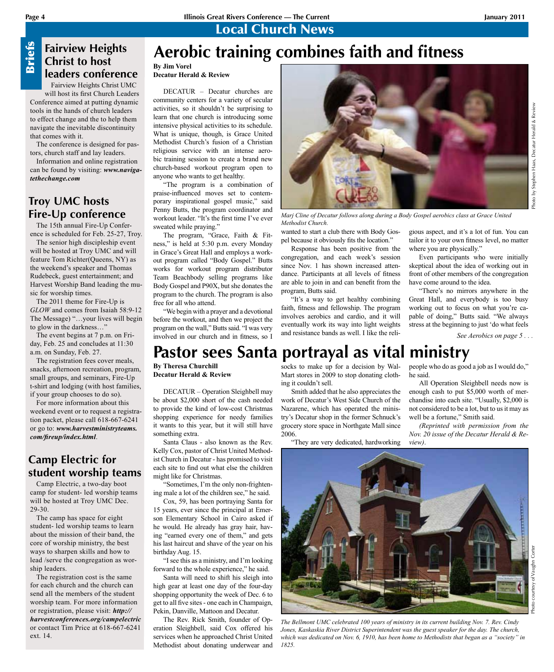Photo by Stephen Haas, Decatur Herald & Review

# **Briefs**

**Fairview Heights Christ to host leaders conference**

Fairview Heights Christ UMC will host its first Church Leaders Conference aimed at putting dynamic tools in the hands of church leaders to effect change and the to help them navigate the inevitable discontinuity that comes with it.

The conference is designed for pastors, church staff and lay leaders.

Information and online registration can be found by visiting: *www.navigatethechange.com*

## **Troy UMC hosts Fire-Up conference**

The 15th annual Fire-Up Conference is scheduled for Feb. 25-27, Troy.

The senior high discipleship event will be hosted at Troy UMC and will feature Tom Richter(Queens, NY) as the weekend's speaker and Thomas Rudebeck, guest entertainment; and Harvest Worship Band leading the music for worship times.

The 2011 theme for Fire-Up is *GLOW* and comes from Isaiah 58:9-12 The Message) "…your lives will begin to glow in the darkness…"

The event begins at 7 p.m. on Friday, Feb. 25 and concludes at 11:30 a.m. on Sunday, Feb. 27.

The registration fees cover meals, snacks, afternoon recreation, program, small groups, and seminars, Fire-Up t-shirt and lodging (with host families, if your group chooses to do so).

For more information about this weekend event or to request a registration packet, please call 618-667-6241 or go to: *www.harvestministryteams. com/fireup/index.html*.

## **Camp Electric for student worship teams**

Camp Electric, a two-day boot camp for student- led worship teams will be hosted at Troy UMC Dec. 29-30.

The camp has space for eight student- led worship teams to learn about the mission of their band, the core of worship ministry, the best ways to sharpen skills and how to lead /serve the congregation as worship leaders.

External Content of the Real Content of the Fig. of the Fig. of the Fig. of the feature of the theck of Troy Fire - The 1. ence is s The seculible feature 1 the weel Rudebec Harvest sic for where the weel Rudebec Harvest i The registration cost is the same for each church and the church can send all the members of the student worship team. For more information or registration, please visit: *http:// harvestconferences.org/campelectric* or contact Tim Price at 618-667-6241 ext. 14.

# **Aerobic training combines faith and fitness**

**By Jim Vorel Decatur Herald & Review**

DECATUR – Decatur churches are community centers for a variety of secular activities, so it shouldn't be surprising to learn that one church is introducing some intensive physical activities to its schedule. What is unique, though, is Grace United Methodist Church's fusion of a Christian religious service with an intense aerobic training session to create a brand new church-based workout program open to anyone who wants to get healthy.

"The program is a combination of praise-influenced moves set to contemporary inspirational gospel music," said Penny Butts, the program coordinator and workout leader. "It's the first time I've ever sweated while praying."

The program, "Grace, Faith & Fitness," is held at 5:30 p.m. every Monday in Grace's Great Hall and employs a workout program called "Body Gospel." Butts works for workout program distributor Team Beachbody selling programs like Body Gospel and P90X, but she donates the program to the church. The program is also free for all who attend.

"We begin with a prayer and a devotional before the workout, and then we project the program on the wall," Butts said. "I was very involved in our church and in fitness, so I



*Marj Cline of Decatur follows along during a Body Gospel aerobics class at Grace United Methodist Church.*

wanted to start a club there with Body Gospel because it obviously fits the location."

Response has been positive from the congregation, and each week's session since Nov. 1 has shown increased attendance. Participants at all levels of fitness are able to join in and can benefit from the program, Butts said.

"It's a way to get healthy combining faith, fitness and fellowship. The program involves aerobics and cardio, and it will eventually work its way into light weights and resistance bands as well. I like the reli-

gious aspect, and it's a lot of fun. You can tailor it to your own fitness level, no matter where you are physically."

Even participants who were initially skeptical about the idea of working out in front of other members of the congregation have come around to the idea.

"There's no mirrors anywhere in the Great Hall, and everybody is too busy working out to focus on what you're capable of doing," Butts said. "We always stress at the beginning to just 'do what feels

*See Aerobics on page 5 . . .*

# **Pastor sees Santa portrayal as vital ministry**

**By Theresa Churchill Decatur Herald & Review**

DECATUR – Operation Sleighbell may be about \$2,000 short of the cash needed to provide the kind of low-cost Christmas shopping experience for needy families it wants to this year, but it will still have something extra.

Santa Claus - also known as the Rev. Kelly Cox, pastor of Christ United Methodist Church in Decatur - has promised to visit each site to find out what else the children might like for Christmas.

"Sometimes, I'm the only non-frightening male a lot of the children see," he said.

Cox, 59, has been portraying Santa for 15 years, ever since the principal at Emerson Elementary School in Cairo asked if he would. He already has gray hair, having "earned every one of them," and gets his last haircut and shave of the year on his birthday Aug. 15.

"I see this as a ministry, and I'm looking forward to the whole experience," he said.

Santa will need to shift his sleigh into high gear at least one day of the four-day shopping opportunity the week of Dec. 6 to get to all five sites - one each in Champaign, Pekin, Danville, Mattoon and Decatur.

The Rev. Rick Smith, founder of Operation Sleighbell, said Cox offered his services when he approached Christ United Methodist about donating underwear and

socks to make up for a decision by Wal-Mart stores in 2009 to stop donating clothing it couldn't sell.

Smith added that he also appreciates the work of Decatur's West Side Church of the Nazarene, which has operated the ministry's Decatur shop in the former Schnuck's grocery store space in Northgate Mall since 2006.

"They are very dedicated, hardworking

people who do as good a job as I would do," he said.

All Operation Sleighbell needs now is enough cash to put \$5,000 worth of merchandise into each site. "Usually, \$2,000 is not considered to be a lot, but to us it may as well be a fortune," Smith said.

*(Reprinted with permission from the Nov. 20 issue of the Decatur Herald & Review)*.



*The Bellmont UMC celebrated 100 years of ministry in its current building Nov. 7. Rev. Cindy Jones, Kaskaskia River District Superintendent was the guest speaker for the day. The church, which was dedicated on Nov. 6, 1910, has been home to Methodists that began as a "society" in 1825.*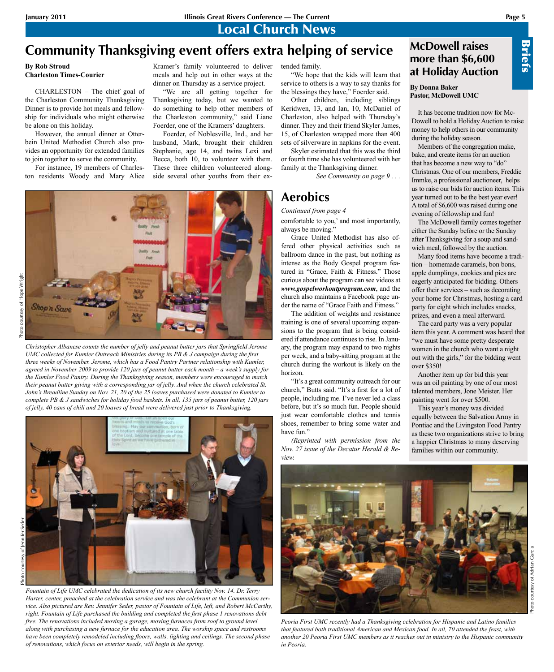Local Church News

# **Community Thanksgiving event offers extra helping of service**

**By Rob Stroud Charleston Times-Courier**

CHARLESTON – The chief goal of the Charleston Community Thanksgiving Dinner is to provide hot meals and fellowship for individuals who might otherwise be alone on this holiday.

However, the annual dinner at Otterbein United Methodist Church also provides an opportunity for extended families to join together to serve the community.

For instance, 19 members of Charleston residents Woody and Mary Alice

#### Kramer's family volunteered to deliver meals and help out in other ways at the dinner on Thursday as a service project.

"We are all getting together for Thanksgiving today, but we wanted to do something to help other members of the Charleston community," said Liane Foerder, one of the Kramers' daughters.

Foerder, of Noblesville, Ind., and her husband, Mark, brought their children Stephanie, age 14, and twins Lexi and Becca, both 10, to volunteer with them. These three children volunteered alongside several other youths from their ex-



Photo courtesy of Jennifer Seder

*Christopher Albanese counts the number of jelly and peanut butter jars that Springfield Jerome UMC collected for Kumler Outreach Ministries during its PB & J campaign during the first three weeks of November. Jerome, which has a Food Pantry Partner relationship with Kumler, agreed in November 2009 to provide 120 jars of peanut butter each month – a week's supply for the Kumler Food Pantry. During the Thanksgiving season, members were encouraged to match their peanut butter giving with a corresponding jar of jelly. And when the church celebrated St. John's Breadline Sunday on Nov. 21, 20 of the 25 loaves purchased were donated to Kumler to complete PB & J sandwiches for holiday food baskets. In all, 135 jars of peanut butter, 120 jars of jelly, 40 cans of chili and 20 loaves of bread were delivered just prior to Thanksgiving.*



*Fountain of Life UMC celebrated the dedication of its new church facility Nov. 14. Dr. Terry Harter, center, preached at the celebration service and was the celebrant at the Communion service. Also pictured are Rev. Jennifer Seder, pastor of Fountain of Life, left, and Robert McCarthy, right. Fountain of Life purchased the building and completed the first phase 1 renovations debt free. The renovations included moving a garage, moving furnaces from roof to ground level along with purchasing a new furnace for the education area. The worship space and restrooms have been completely remodeled including floors, walls, lighting and ceilings. The second phase of renovations, which focus on exterior needs, will begin in the spring.*

tended family.

"We hope that the kids will learn that service to others is a way to say thanks for the blessings they have," Foerder said.

Other children, including siblings Keridwen, 13, and Ian, 10, McDaniel of Charleston, also helped with Thursday's dinner. They and their friend Skyler James, 15, of Charleston wrapped more than 400 sets of silverware in napkins for the event.

Skyler estimated that this was the third or fourth time she has volunteered with her family at the Thanksgiving dinner.

*See Community on page 9 . . .*

## **Aerobics**

*Continued from page 4* comfortable to you,' and most importantly, always be moving.'

Grace United Methodist has also offered other physical activities such as ballroom dance in the past, but nothing as intense as the Body Gospel program featured in "Grace, Faith & Fitness." Those curious about the program can see videos at *www.gospelworkoutprogram.com*, and the church also maintains a Facebook page under the name of "Grace Faith and Fitness."

The addition of weights and resistance training is one of several upcoming expansions to the program that is being considered if attendance continues to rise. In January, the program may expand to two nights per week, and a baby-sitting program at the church during the workout is likely on the horizon.

"It's a great community outreach for our church," Butts said. "It's a first for a lot of people, including me. I've never led a class before, but it's so much fun. People should just wear comfortable clothes and tennis shoes, remember to bring some water and have fun."

*(Reprinted with permission from the Nov. 27 issue of the Decatur Herald & Review.*



**By Donna Baker Pastor, McDowell UMC**

It has become tradition now for Mc-Dowell to hold a Holiday Auction to raise money to help others in our community during the holiday season.

Members of the congregation make, bake, and create items for an auction that has become a new way to "do" Christmas. One of our members, Freddie Immke, a professional auctioneer, helps us to raise our bids for auction items. This year turned out to be the best year ever! A total of \$6,600 was raised during one evening of fellowship and fun!

The McDowell family comes together either the Sunday before or the Sunday after Thanksgiving for a soup and sandwich meal, followed by the auction.

Many food items have become a tradition – homemade caramels, bon bons, apple dumplings, cookies and pies are eagerly anticipated for bidding. Others offer their services – such as decorating your home for Christmas, hosting a card party for eight which includes snacks, prizes, and even a meal afterward.

The card party was a very popular item this year. A comment was heard that "we must have some pretty desperate women in the church who want a night out with the girls," for the bidding went over \$350!

Another item up for bid this year was an oil painting by one of our most talented members, Jone Meister. Her painting went for over \$500.

This year's money was divided equally between the Salvation Army in Pontiac and the Livingston Food Pantry as these two organizations strive to bring a happier Christmas to many deserving families within our community.



Briefs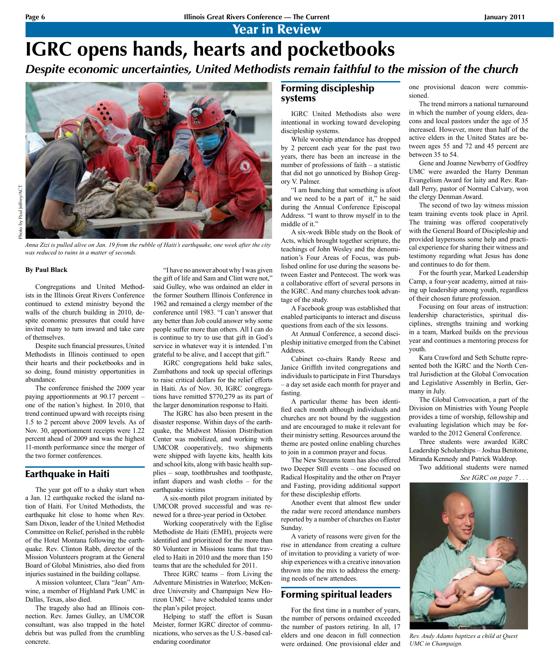Year in Review

# **IGRC opens hands, hearts and pocketbooks** *Despite economic uncertainties, United Methodists remain faithful to the mission of the church*



*Anna Zizi is pulled alive on Jan. 19 from the rubble of Haiti's earthquake, one week after the city was reduced to ruins in a matter of seconds.*

#### **By Paul Black**

Congregations and United Methodists in the Illinois Great Rivers Conference continued to extend ministry beyond the walls of the church building in 2010, despite economic pressures that could have invited many to turn inward and take care of themselves.

Despite such financial pressures, United Methodists in Illinois continued to open their hearts and their pocketbooks and in so doing, found ministry opportunities in abundance.

The conference finished the 2009 year paying apportionments at 90.17 percent – one of the nation's highest. In 2010, that trend continued upward with receipts rising 1.5 to 2 percent above 2009 levels. As of Nov. 30, apportionment receipts were 1.22 percent ahead of 2009 and was the highest 11-month performance since the merger of the two former conferences.

#### Earthquake in Haiti

The year got off to a shaky start when a Jan. 12 earthquake rocked the island nation of Haiti. For United Methodists, the earthquake hit close to home when Rev. Sam Dixon, leader of the United Methodist Committee on Relief, perished in the rubble of the Hotel Montana following the earthquake. Rev. Clinton Rabb, director of the Mission Volunteers program at the General Board of Global Ministries, also died from injuries sustained in the building collapse.

A mission volunteer, Clara "Jean" Arnwine, a member of Highland Park UMC in Dallas, Texas, also died.

The tragedy also had an Illinois connection. Rev. James Gulley, an UMCOR consultant, was also trapped in the hotel debris but was pulled from the crumbling concrete.

"I have no answer about why I was given the gift of life and Sam and Clint were not," said Gulley, who was ordained an elder in the former Southern Illinois Conference in 1962 and remained a clergy member of the conference until 1983. "I can't answer that any better than Job could answer why some people suffer more than others. All I can do is continue to try to use that gift in God's service in whatever way it is intended. I'm grateful to be alive, and I accept that gift."

IGRC congregations held bake sales, Zumbathons and took up special offerings to raise critical dollars for the relief efforts in Haiti. As of Nov. 30, IGRC congregations have remitted \$770,279 as its part of the larger denomination response to Haiti.

The IGRC has also been present in the disaster response. Within days of the earthquake, the Midwest Mission Distribution Center was mobilized, and working with UMCOR cooperatively, two shipments were shipped with layette kits, health kits and school kits, along with basic health supplies – soap, toothbrushes and toothpaste, infant diapers and wash cloths – for the earthquake victims

A six-month pilot program initiated by UMCOR proved successful and was renewed for a three-year period in October.

Working cooperatively with the Eglise Methodiste de Haiti (EMH), projects were identified and prioritized for the more than 80 Volunteer in Missions teams that traveled to Haiti in 2010 and the more than 150 teams that are the scheduled for 2011.

Three IGRC teams – from Living the Adventure Ministries in Waterloo; McKendree University and Champaign New Horizon UMC – have scheduled teams under the plan's pilot project.

Helping to staff the effort is Susan Meister, former IGRC director of communications, who serves as the U.S.-based calendaring coordinator

## Forming discipleship systems

IGRC United Methodists also were intentional in working toward developing discipleship systems.

While worship attendance has dropped by 2 percent each year for the past two years, there has been an increase in the number of professions of faith – a statistic that did not go unnoticed by Bishop Gregory V. Palmer.

"I am hunching that something is afoot and we need to be a part of it," he said during the Annual Conference Episcopal Address. "I want to throw myself in to the middle of it."

A six-week Bible study on the Book of Acts, which brought together scripture, the teachings of John Wesley and the denomination's Four Areas of Focus, was published online for use during the seasons between Easter and Pentecost. The work was a collaborative effort of several persons in the IGRC. And many churches took advantage of the study.

A Facebook group was established that enabled participants to interact and discuss questions from each of the six lessons.

At Annual Conference, a second discipleship initiative emerged from the Cabinet Address.

Cabinet co-chairs Randy Reese and Janice Griffith invited congregations and individuals to participate in First Thursdays – a day set aside each month for prayer and fasting.

A particular theme has been identified each month although individuals and churches are not bound by the suggestion and are encouraged to make it relevant for their ministry setting. Resources around the theme are posted online enabling churches to join in a common prayer and focus.

The New Streams team has also offered two Deeper Still events – one focused on Radical Hospitality and the other on Prayer and Fasting, providing additional support for these discipleship efforts.

Another event that almost flew under the radar were record attendance numbers reported by a number of churches on Easter Sunday.

A variety of reasons were given for the rise in attendance from creating a culture of invitation to providing a variety of worship experiences with a creative innovation thrown into the mix to address the emerging needs of new attendees.

## Forming spiritual leaders

For the first time in a number of years, the number of persons ordained exceeded the number of pastors retiring. In all, 17 elders and one deacon in full connection were ordained. One provisional elder and one provisional deacon were commissioned.

The trend mirrors a national turnaround in which the number of young elders, deacons and local pastors under the age of 35 increased. However, more than half of the active elders in the United States are between ages 55 and 72 and 45 percent are between 35 to 54.

Gene and Joanne Newberry of Godfrey UMC were awarded the Harry Denman Evangelism Award for laity and Rev. Randall Perry, pastor of Normal Calvary, won the clergy Denman Award.

The second of two lay witness mission team training events took place in April. The training was offered cooperatively with the General Board of Discipleship and provided laypersons some help and practical experience for sharing their witness and testimony regarding what Jesus has done and continues to do for them.

For the fourth year, Marked Leadership Camp, a four-year academy, aimed at raising up leadership among youth, regardless of their chosen future profession.

Focusing on four areas of instruction: leadership characteristics, spiritual disciplines, strengths training and working in a team, Marked builds on the previous year and continues a mentoring process for youth.

Kara Crawford and Seth Schutte represented both the IGRC and the North Central Jurisdiction at the Global Convocation and Legislative Assembly in Berlin, Germany in July.

The Global Convocation, a part of the Division on Ministries with Young People provides a time of worship, fellowship and evaluating legislation which may be forwarded to the 2012 General Conference.

Three students were awarded IGRC Leadership Scholarships – Joshua Benitone, Miranda Kennedy and Patrick Waldrop.

Two additional students were named

*See IGRC on page 7 . . .*



*Rev. Andy Adams baptizes a child at Quest UMC in Champaign.*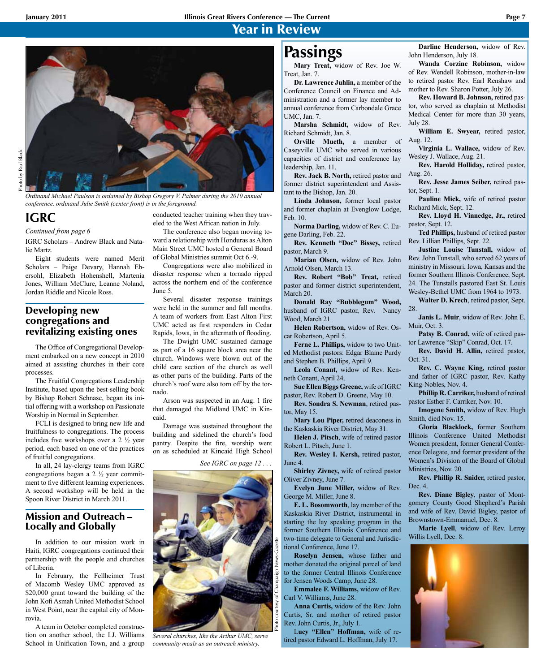## Year in Review



*Ordinand Michael Paulson is ordained by Bishop Gregory V. Palmer during the 2010 annual conference. ordinand Julie Smith (center front) is in the foreground.*

## **IGRC**

*Continued from page 6*

IGRC Scholars – Andrew Black and Natalie Martz.

Eight students were named Merit Scholars – Paige Devary, Hannah Ebersohl, Elizabeth Hohenshell, Martenia Jones, William McClure, Leanne Noland, Jordan Riddle and Nicole Ross.

## Developing new congregations and revitalizing existing ones

The Office of Congregational Development embarked on a new concept in 2010 aimed at assisting churches in their core processes.

The Fruitful Congregations Leadership Institute, based upon the best-selling book by Bishop Robert Schnase, began its initial offering with a workshop on Passionate Worship in Normal in September.

FCLI is designed to bring new life and fruitfulness to congregations. The process includes five workshops over a 2 ½ year period, each based on one of the practices of fruitful congregations.

In all, 24 lay-clergy teams from IGRC congregations began a 2 ½ year commitment to five different learning experiences. A second workshop will be held in the Spoon River District in March 2011.

## Mission and Outreach – Locally and Globally

In addition to our mission work in Haiti, IGRC congregations continued their partnership with the people and churches of Liberia.

In February, the Fellheimer Trust of Macomb Wesley UMC approved as \$20,000 grant toward the building of the John Kofi Asmah United Methodist School in West Point, near the capital city of Monrovia.

A team in October completed construction on another school, the I.J. Williams School in Unification Town, and a group conducted teacher training when they traveled to the West African nation in July.

The conference also began moving toward a relationship with Honduras as Alton Main Street UMC hosted a General Board of Global Ministries summit Oct 6.-9.

Congregations were also mobilized in disaster response when a tornado ripped across the northern end of the conference June 5.

Several disaster response trainings were held in the summer and fall months. A team of workers from East Alton First UMC acted as first responders in Cedar Rapids, Iowa, in the aftermath of flooding.

The Dwight UMC sustained damage as part of a 16 square block area near the church. Windows were blown out of the child care section of the church as well as other parts of the building. Parts of the church's roof were also torn off by the tornado.

Arson was suspected in an Aug. 1 fire that damaged the Midland UMC in Kincaid.

Damage was sustained throughout the building and sidelined the church's food pantry. Despite the fire, worship went on as scheduled at Kincaid High School

*See IGRC on page 12 . . .*



*Several churches, like the Arthur UMC, serve community meals as an outreach ministry.*

**Mary Treat,** widow of Rev. Joe W. Treat, Jan. 7.

**Dr. Lawrence Juhlin,** a member of the Conference Council on Finance and Administration and a former lay member to annual conference from Carbondale Grace UMC, Jan. 7.

**Marsha Schmidt,** widow of Rev. Richard Schmidt, Jan. 8.

**Orville Mueth,** a member of Caseyville UMC who served in various capacities of district and conference lay leadership, Jan. 11.

**Rev. Jack B. North,** retired pastor and former district superintendent and Assistant to the Bishop, Jan. 20.

**Linda Johnson,** former local pastor and former chaplain at Evenglow Lodge, Feb. 10.

**Norma Darling,** widow of Rev. C. Eugene Darling, Feb. 22.

**Rev. Kenneth "Doc" Bissey,** retired pastor, March 9.

**Marian Olsen,** widow of Rev. John Arnold Olsen, March 13.

**Rev. Robert "Bob" Treat,** retired pastor and former district superintendent, March 20.

**Donald Ray "Bubblegum" Wood,** husband of IGRC pastor, Rev. Nancy Wood, March 21.

**Helen Robertson,** widow of Rev. Oscar Robertson, April 5.

**Ferne L. Phillips,** widow to two United Methodist pastors: Edgar Blaine Purdy and Stephen B. Phillips, April 9.

**Leola Conant,** widow of Rev. Kenneth Conant, April 24.

**Sue Ellen Biggs Greene,** wife of IGRC pastor, Rev. Robert D. Greene, May 10.

**Rev. Sondra S. Newman**, retired pastor, May 15.

**Mary Lou Piper,** retired deaconess in the Kaskaskia River District, May 31.

**Helen J. Pitsch**, wife of retired pastor Robert L. Pitsch, June 1.

**Rev. Wesley I. Kersh,** retired pastor, June 4.

**Shirley Zivney,** wife of retired pastor Oliver Zivney, June 7.

**Evelyn June Miller,** widow of Rev. George M. Miller, June 8.

**E. L. Bosomworth**, lay member of the Kaskaskia River District, instrumental in starting the lay speaking program in the former Southern Illinois Conference and two-time delegate to General and Jurisdictional Conference, June 17.

**Roselyn Jensen,** whose father and mother donated the original parcel of land to the former Central Illinois Conference for Jensen Woods Camp, June 28.

**Emmalee F. Williams,** widow of Rev. Carl V. Williams, June 28.

**Anna Curtis,** widow of the Rev. John Curtis, Sr. and mother of retired pastor Rev. John Curtis, Jr., July 1.

L**ucy "Ellen" Hoffman,** wife of retired pastor Edward L. Hoffman, July 17.

**Passings Darline Henderson**, widow of Rev.<br>John Henderson, July 18. John Henderson, July 18.

**Wanda Corzine Robinson,** widow of Rev. Wendell Robinson, mother-in-law to retired pastor Rev. Earl Renshaw and mother to Rev. Sharon Potter, July 26.

**Rev. Howard B. Johnson,** retired pastor, who served as chaplain at Methodist Medical Center for more than 30 years, July 28.

**William E. Swyear,** retired pastor, Aug. 12.

**Virginia L. Wallace,** widow of Rev. Wesley J. Wallace, Aug. 21.

**Rev. Harold Holliday,** retired pastor, Aug. 26.

**Rev. Jesse James Seiber,** retired pastor, Sept. 1.

**Pauline Mick,** wife of retired pastor Richard Mick, Sept. 12.

**Rev. Lloyd H. Vinnedge, Jr.,** retired pastor, Sept. 12.

**Ted Phillips,** husband of retired pastor Rev. Lillian Phillips, Sept. 22.

**Justine Louise Tunstall,** widow of Rev. John Tunstall, who served 62 years of ministry in Missouri, Iowa, Kansas and the former Southern Illinois Conference, Sept. 24. The Tunstalls pastored East St. Louis Wesley-Bethel UMC from 1964 to 1973.

**Walter D. Krech**, retired pastor, Sept. 28.

**Janis L. Muir**, widow of Rev. John E. Muir, Oct. 3.

Patsy B. Conrad, wife of retired pastor Lawrence "Skip" Conrad, Oct. 17.

**Rev. David H. Allin,** retired pastor, Oct. 31.

**Rev. C. Wayne King,** retired pastor and father of IGRC pastor, Rev. Kathy King-Nobles, Nov. 4.

**Phillip R. Carriker,** husband of retired pastor Esther F. Carriker, Nov. 10.

**Imogene Smith,** widow of Rev. Hugh Smith, died Nov. 15.

**Gloria Blacklock,** former Southern Illinois Conference United Methodist Women president, former General Conference Delegate, and former president of the Women's Division of the Board of Global Ministries, Nov. 20.

**Rev. Phillip R. Snider,** retired pastor, Dec. 4.

**Rev. Diane Bigley**, pastor of Montgomery County Good Shepherd's Parish and wife of Rev. David Bigley, pastor of Brownstown-Emmanuel, Dec. 8.

**Marie Lyell**, widow of Rev. Leroy Willis Lyell, Dec. 8.

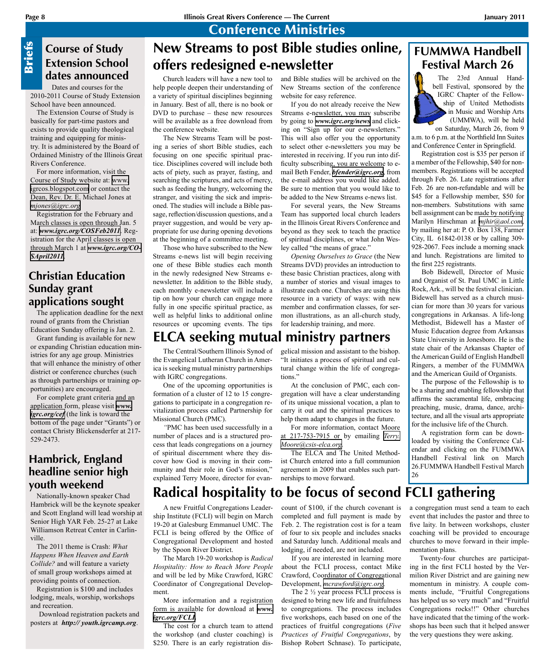## Conference Ministries

# **Sriefs**

## **Course of Study Extension School dates announced**

Dates and courses for the 2010-2011 Course of Study Extension School have been announced.

The Extension Course of Study is basically for part-time pastors and exists to provide quality theological training and equipping for ministry. It is administered by the Board of Ordained Ministry of the Illinois Great Rivers Conference.

For more information, visit the Course of Study website at: [www.](http://www.igrcos.blogspot.com) [igrcos.blogspot.com](http://www.igrcos.blogspot.com) or contact the Dean, Rev. Dr. E. Michael Jones at *[mjones@igrc.org](mailto:mjones@igrc.org)*

Registration for the February and March classes is open through Jan. 5 at: *[www.igrc.org/COSFeb2011](http://www.igrc.org/COSFeb2011)*. Registration for the April classes is open through March 1 at *[www.igrc.org/CO-](http://www.igrc.org/COSApril2011)[SApril2011](http://www.igrc.org/COSApril2011)*.

## **Christian Education Sunday grant applications sought**

The application deadline for the next round of grants from the Christian Education Sunday offering is Jan. 2.

Grant funding is available for new or expanding Christian education ministries for any age group. Ministries that will enhance the ministry of other district or conference churches (such as through partnerships or training opportunities) are encouraged. Course of Study<br>
Extension School<br>
dates announced<br>
Dates and courses for the<br>
Dates and courses of study Extension<br>
2010-2011 course of Study Extension<br>
The Extension Course of Study Extension<br>
The Extension Course of Stu

For complete grant criteria and an application form, please visit *[www.](http://www.igrc.org/cef) igrc.org/cef* (the link is toward the bottom of the page under "Grants") or contact Christy Blickensderfer at 217- 529-2473.

## **Hambrick, England headline senior high youth weekend**

Nationally-known speaker Chad Hambrick will be the keynote speaker and Scott England will lead worship at Senior High YAR Feb. 25-27 at Lake Williamson Retreat Center in Carlinville.

The 2011 theme is Crash: *What Happens When Heaven and Earth Collide?* and will feature a variety of small group workshops aimed at providing points of connection.

Registration is \$100 and includes lodging, meals, worship, workshops and recreation.

Download registration packets and posters at http://youth.igrcamp.org.

## and Bible studies will be archived on the **New Streams to post Bible studies online, offers redesigned e-newsletter**

Church leaders will have a new tool to help people deepen their understanding of a variety of spiritual disciplines beginning in January. Best of all, there is no book or DVD to purchase – these new resources will be available as a free download from the conference website.

The New Streams Team will be posting a series of short Bible studies, each focusing on one specific spiritual practice. Disciplines covered will include both acts of piety, such as prayer, fasting, and searching the scriptures, and acts of mercy, such as feeding the hungry, welcoming the stranger, and visiting the sick and imprisoned. The studies will include a Bible passage, reflection/discussion questions, and a prayer suggestion, and would be very appropriate for use during opening devotions at the beginning of a committee meeting.

Those who have subscribed to the New Streams e-news list will begin receiving one of these Bible studies each month in the newly redesigned New Streams enewsletter. In addition to the Bible study, each monthly e-newsletter will include a tip on how your church can engage more fully in one specific spiritual practice, as well as helpful links to additional online resources or upcoming events. The tips

## **ELCA seeking mutual ministry partners**

The Central/Southern Illinois Synod of the Evangelical Lutheran Church in America is seeking mutual ministry partnerships with IGRC congregations.

One of the upcoming opportunities is formation of a cluster of 12 to 15 congregations to participate in a congregation revitalization process called Partnership for Missional Church (PMC).

*"*PMC has been used successfully in a number of places and is a structured process that leads congregations on a journey of spiritual discernment where they discover how God is moving in their community and their role in God's mission," explained Terry Moore, director for evan-

gelical mission and assistant to the bishop. "It initiates a process of spiritual and cultural change within the life of congregations<sup>?</sup>

New Streams section of the conference

If you do not already receive the New Streams e-newsletter, you may subscribe by going to *[www.igrc.org/news](http://www.igrc.org/news)* and clicking on "Sign up for our e-newsletters." This will also offer you the opportunity to select other e-newsletters you may be interested in receiving. If you run into difficulty subscribing, you are welcome to email Beth Fender, *[bfender@igrc.org](mailto:bfender@igrc.org)*, from the e-mail address you would like added. Be sure to mention that you would like to be added to the New Streams e-news list. For several years, the New Streams Team has supported local church leaders in the Illinois Great Rivers Conference and beyond as they seek to teach the practice of spiritual disciplines, or what John Wes-

website for easy reference.

ley called "the means of grace."

for leadership training, and more.

*Opening Ourselves to Grace* (the New Streams DVD) provides an introduction to these basic Christian practices, along with a number of stories and visual images to illustrate each one. Churches are using this resource in a variety of ways: with new member and confirmation classes, for sermon illustrations, as an all-church study,

At the conclusion of PMC, each congregation will have a clear understanding of its unique missional vocation, a plan to carry it out and the spiritual practices to help them adapt to changes in the future.

For more information, contact Moore at 217-753-7915 or by emailing *[Terry.](mailto:Terry.Moore@csis-elca.org) [Moore@csis-elca.org](mailto:Terry.Moore@csis-elca.org).*

The ELCA and The United Methodist Church entered into a full communion agreement in 2009 that enables such partnerships to move forward.

## **FUMMWA Handbell Festival March 26**

The 23rd Annual Handbell Festival, sponsored by the IGRC Chapter of the Fellowship of United Methodists in Music and Worship Arts (UMMWA), will be held

on Saturday, March 26, from 9 a.m. to 6 p.m. at the Northfield Inn Suites and Conference Center in Springfield.

Registration cost is \$35 per person if a member of the Fellowship, \$40 for nonmembers. Registrations will be accepted through Feb. 26. Late registrations after Feb. 26 are non-refundable and will be \$45 for a Fellowship member, \$50 for non-members. Substitutions with same bell assignment can be made by notifying Marilyn Hirschman at *[mjhir@aol.com](mailto:mjhir@aol.com)*, by mailing her at: P. O. Box 138, Farmer City, IL 61842-0138 or by calling 309- 928-2067. Fees include a morning snack and lunch. Registrations are limited to the first 225 registrants.

Bob Bidewell, Director of Music and Organist of St. Paul UMC in Little Rock, Ark., will be the festival clinician. Bidewell has served as a church musician for more than 30 years for various congregations in Arkansas. A life-long Methodist, Bidewell has a Master of Music Education degree from Arkansas State University in Jonesboro. He is the state chair of the Arkansas Chapter of the American Guild of English Handbell Ringers, a member of the FUMMWA and the American Guild of Organists.

The purpose of the Fellowship is to be a sharing and enabling fellowship that affirms the sacramental life, embracing preaching, music, drama, dance, architecture, and all the visual arts appropriate for the inclusive life of the Church.

A registration form can be downloaded by visiting the Conference Calendar and clicking on the FUMMWA Handbell Festival link on March 26.FUMMWA Handbell Festival March 26

# **Radical hospitality to be focus of second FCLI gathering**

A new Fruitful Congregations Leadership Institute (FCLI) will begin on March 19-20 at Galesburg Emmanuel UMC. The FCLI is being offered by the Office of Congregational Development and hosted by the Spoon River District.

The March 19-20 workshop is *Radical Hospitality: How to Reach More People* and will be led by Mike Crawford, IGRC Coordinator of Congregational Development.

More information and a registration form is available for download at *[www.](http://www.igrc.org/FCLI) [igrc.org/FCLI.](http://www.igrc.org/FCLI)*

The cost for a church team to attend the workshop (and cluster coaching) is \$250. There is an early registration discount of \$100, if the church covenant is completed and full payment is made by Feb. 2. The registration cost is for a team of four to six people and includes snacks and Saturday lunch. Additional meals and lodging, if needed, are not included.

If you are interested in learning more about the FCLI process, contact Mike Crawford, Coordinator of Congregational Development, *[mcrawford@igrc.org](mailto:mcrawford@igrc.org)*.

The 2 ½ year process FCLI process is designed to bring new life and fruitfulness to congregations. The process includes five workshops, each based on one of the practices of fruitful congregations (*Five Practices of Fruitful Congregations*, by Bishop Robert Schnase). To participate,

a congregation must send a team to each event that includes the pastor and three to five laity. In between workshops, cluster coaching will be provided to encourage churches to move forward in their implementation plans.

Twenty-four churches are participating in the first FCLI hosted by the Vermilion River District and are gaining new momentum in ministry. A couple comments include, "Fruitful Congregations has helped us so very much" and "Fruitful Congregations rocks!!" Other churches have indicated that the timing of the workshops has been such that it helped answer the very questions they were asking.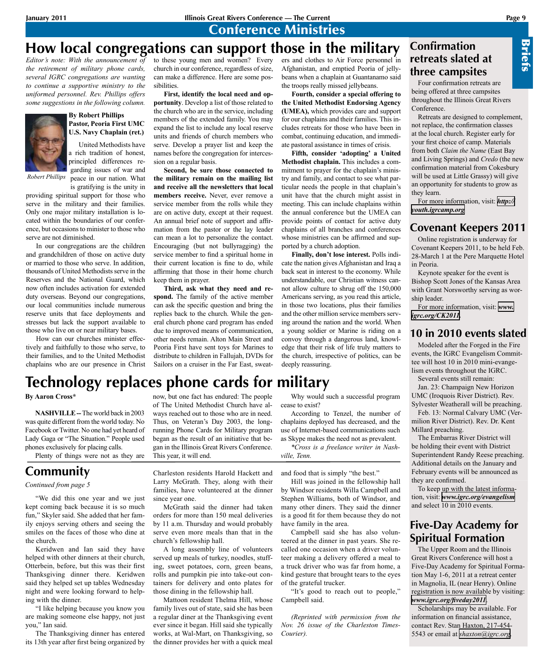Conference Ministries

## **How local congregations can support those in the military**

*Editor's note: With the announcement of the retirement of military phone cards, several IGRC congregations are wanting to continue a supportive ministry to the uniformed personnel. Rev. Phillips offers some suggestions in the following column.*



*Robert Phillips*

#### **By Robert Phillips Pastor, Peoria First UMC U.S. Navy Chaplain (ret.)**

United Methodists have a rich tradition of honest principled differences regarding issues of war and peace in our nation. What is gratifying is the unity in

providing spiritual support for those who serve in the military and their families. Only one major military installation is located within the boundaries of our conference, but occasions to minister to those who serve are not diminished.

In our congregations are the children and grandchildren of those on active duty or married to those who serve. In addition, thousands of United Methodists serve in the Reserves and the National Guard, which now often includes activation for extended duty overseas. Beyond our congregations, our local communities include numerous reserve units that face deployments and stresses but lack the support available to those who live on or near military bases.

How can our churches minister effectively and faithfully to those who serve, to their families, and to the United Methodist chaplains who are our presence in Christ to these young men and women? Every church in our conference, regardless of size, can make a difference. Here are some possibilities.

**First, identify the local need and opportunity**. Develop a list of those related to the church who are in the service, including members of the extended family. You may expand the list to include any local reserve units and friends of church members who serve. Develop a prayer list and keep the names before the congregation for intercession on a regular basis.

**Second, be sure those connected to the military remain on the mailing list and receive all the newsletters that local members receive.** Never, ever remove a service member from the rolls while they are on active duty, except at their request. An annual brief note of support and affirmation from the pastor or the lay leader can mean a lot to personalize the contact. Encouraging (but not bullyragging) the service member to find a spiritual home in their current location is fine to do, while affirming that those in their home church keep them in prayer.

**Third, ask what they need and respond.** The family of the active member can ask the specific question and bring the replies back to the church. While the general church phone card program has ended due to improved means of communication, other needs remain. Alton Main Street and Peoria First have sent toys for Marines to distribute to children in Fallujah, DVDs for Sailors on a cruiser in the Far East, sweaters and clothes to Air Force personnel in Afghanistan, and emptied Peoria of jellybeans when a chaplain at Guantanamo said the troops really missed jellybeans.

**Fourth, consider a special offering to the United Methodist Endorsing Agency (UMEA),** which provides care and support for our chaplains and their families. This includes retreats for those who have been in combat, continuing education, and immediate pastoral assistance in times of crisis.

**Fifth, consider 'adopting' a United Methodist chaplain.** This includes a commitment to prayer for the chaplain's ministry and family, and contact to see what particular needs the people in that chaplain's unit have that the church might assist in meeting. This can include chaplains within the annual conference but the UMEA can provide points of contact for active duty chaplains of all branches and conferences whose ministries can be affirmed and supported by a church adoption.

**Finally, don't lose interest.** Polls indicate the nation gives Afghanistan and Iraq a back seat in interest to the economy. While understandable, our Christian witness cannot allow culture to shrug off the 150,000 Americans serving, as you read this article, in those two locations, plus their families and the other million service members serving around the nation and the world. When a young soldier or Marine is riding on a convoy through a dangerous land, knowledge that their risk of life truly matters to the church, irrespective of politics, can be deeply reassuring.

## **Confirmation retreats slated at three campsites**

Four confirmation retreats are being offered at three campsites throughout the Illinois Great Rivers Conference.

Retreats are designed to complement, not replace, the confirmation classes at the local church. Register early for your first choice of camp. Materials from both *Claim the Name* (East Bay and Living Springs) and *Credo* (the new confirmation material from Cokesbury will be used at Little Grassy) will give an opportunity for students to grow as they learn.

For more information, visit: *[http://](http://youth.igrcamp.org) [youth.igrcamp.org](http://youth.igrcamp.org)*

## **Covenant Keepers 2011**

Online registration is underway for Covenant Keepers 2011, to be held Feb. 28-March 1 at the Pere Marquette Hotel in Peoria.

Keynote speaker for the event is Bishop Scott Jones of the Kansas Area with Grant Norsworthy serving as worship leader.

For more information, visit: *[www.](http://www.igrc.org/CK2011) [igrc.org/CK2011](http://www.igrc.org/CK2011).*

## **10 in 2010 events slated**

Modeled after the Forged in the Fire events, the IGRC Evangelism Committee will host 10 in 2010 mini-evangelism events throughout the IGRC.

Several events still remain:

Jan. 23: Champaign New Horizon UMC (Iroquois River District). Rev. Sylvester Weatherall will be preaching.

Feb. 13: Normal Calvary UMC (Vermilion River District). Rev. Dr. Kent Millard preaching.

The Embarras River District will be holding their event with District Superintendent Randy Reese preaching. Additional details on the January and February events will be announced as they are confirmed.

To keep up with the latest information, visit: *[www.igrc.org/evangelism](http://www.igrc.org/evangelism)* and select 10 in 2010 events.

## **Five-Day Academy for Spiritual Formation**

The Upper Room and the Illinois Great Rivers Conference will host a Five-Day Academy for Spiritual Formation May 1-6, 2011 at a retreat center in Magnolia, IL (near Henry). Online registration is now available by visiting: *[www.igrc.org/fiveday2011](http://www.igrc.org/fiveday2011)*.

Scholarships may be available. For information on financial assistance, contact Rev. Stan Haxton, 217-454- 5543 or email at *[shaxton@igrc.org](mailto:shaxton@igrc.org)*.

#### now, but one fact has endured: The people Why would such a successful program **Technology replaces phone cards for military**

This year, it will end.

**By Aaron Cross\*** 

**NASHVILLE --** The world back in 2003 was quite different from the world today. No Facebook or Twitter. No one had yet heard of Lady Gaga or "The Situation." People used phones exclusively for placing calls.

Plenty of things were not as they are

## **Community**

#### *Continued from page 5*

"We did this one year and we just kept coming back because it is so much fun," Skyler said. She added that her family enjoys serving others and seeing the smiles on the faces of those who dine at the church.

Keridwen and Ian said they have helped with other dinners at their church, Otterbein, before, but this was their first Thanksgiving dinner there. Keridwen said they helped set up tables Wednesday night and were looking forward to helping with the dinner.

"I like helping because you know you are making someone else happy, not just you," Ian said.

The Thanksgiving dinner has entered its 13th year after first being organized by Charleston residents Harold Hackett and Larry McGrath. They, along with their families, have volunteered at the dinner since year one.

of The United Methodist Church have always reached out to those who are in need. Thus, on Veteran's Day 2003, the longrunning Phone Cards for Military program began as the result of an initiative that began in the Illinois Great Rivers Conference.

McGrath said the dinner had taken orders for more than 150 meal deliveries by 11 a.m. Thursday and would probably serve even more meals than that in the church's fellowship hall.

A long assembly line of volunteers served up meals of turkey, noodles, stuffing, sweet potatoes, corn, green beans, rolls and pumpkin pie into take-out containers for delivery and onto plates for those dining in the fellowship hall.

Mattoon resident Thelma Hill, whose family lives out of state, said she has been a regular diner at the Thanksgiving event ever since it began. Hill said she typically works, at Wal-Mart, on Thanksgiving, so the dinner provides her with a quick meal

cease to exist? According to Tenzel, the number of

chaplains deployed has decreased, and the use of Internet-based communications such as Skype makes the need not as prevalent.

*\*Cross is a freelance writer in Nash-*

*ville, Tenn.* 

and food that is simply "the best."

Hill was joined in the fellowship hall by Windsor residents Willa Campbell and Stephen Williams, both of Windsor, and many other diners. They said the dinner is a good fit for them because they do not have family in the area.

Campbell said she has also volunteered at the dinner in past years. She recalled one occasion when a driver volunteer making a delivery offered a meal to a truck driver who was far from home, a kind gesture that brought tears to the eyes of the grateful trucker.

"It's good to reach out to people," Campbell said.

*(Reprinted with permission from the Nov. 26 issue of the Charleston Times-Courier).*

Briefs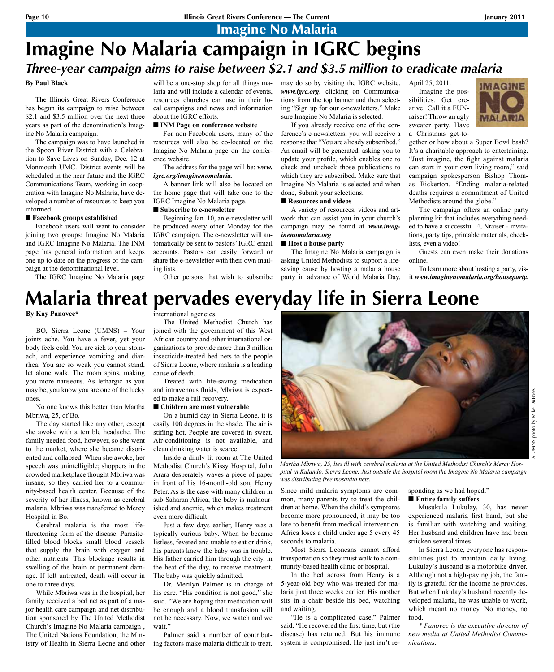Imagine No Malaria

# **Imagine No Malaria campaign in IGRC begins** *Three-year campaign aims to raise between \$2.1 and \$3.5 million to eradicate malaria*

#### **By Paul Black**

The Illinois Great Rivers Conference has begun its campaign to raise between \$2.1 and \$3.5 million over the next three years as part of the denomination's Imagine No Malaria campaign.

The campaign was to have launched in the Spoon River District with a Celebration to Save Lives on Sunday, Dec. 12 at Monmouth UMC. District events will be scheduled in the near future and the IGRC Communications Team, working in cooperation with Imagine No Malaria, have developed a number of resources to keep you informed.

#### ■ Facebook groups established

Facebook users will want to consider joining two groups: Imagine No Malaria and IGRC Imagine No Malaria. The INM page has general information and keeps one up to date on the progress of the campaign at the denominational level.

The IGRC Imagine No Malaria page

laria and will include a calendar of events, resources churches can use in their local campaigns and news and information about the IGRC efforts.

#### $\blacksquare$  **INM Page on conference website**

For non-Facebook users, many of the resources will also be co-located on the Imagine No Malaria page on the conference website.

#### The address for the page will be: *www. igrc.org/imaginenomalaria.*

A banner link will also be located on the home page that will take one to the IGRC Imagine No Malaria page.

#### ■ Subscribe to e-newsletter

Beginning Jan. 10, an e-newsletter will be produced every other Monday for the IGRC campaign. The e-newsletter will automatically be sent to pastors' IGRC email accounts. Pastors can easily forward or share the e-newsletter with their own mailing lists.

Other persons that wish to subscribe

will be a one-stop shop for all things ma- may do so by visiting the IGRC website, *www.igrc.org*, clicking on Communications from the top banner and then selecting "Sign up for our e-newsletters." Make sure Imagine No Malaria is selected.

If you already receive one of the conference's e-newsletters, you will receive a response that "You are already subscribed." An email will be generated, asking you to update your profile, which enables one to check and uncheck those publications to which they are subscribed. Make sure that Imagine No Malaria is selected and when done, Submit your selections.

#### $\blacksquare$  Resources and videos

A variety of resources, videos and artwork that can assist you in your church's campaign may be found at *www.imaginenomalaria.org*

#### ■ **Host a house party**

The Imagine No Malaria campaign is asking United Methodists to support a lifesaving cause by hosting a malaria house party in advance of World Malaria Day, April 25, 2011. Imagine the possibilities. Get creative! Call it a FUNraiser! Throw an ugly sweater party. Have

a Christmas get-to-



gether or how about a Super Bowl bash? It's a charitable approach to entertaining. "Just imagine, the fight against malaria can start in your own living room," said campaign spokesperson Bishop Thomas Bickerton. °Ending malaria-related deaths requires a commitment of United Methodists around the globe."

The campaign offers an online party planning kit that includes everything needed to have a successful FUNraiser - invitations, party tips, printable materials, checklists, even a video!

Guests can even make their donations online.

To learn more about hosting a party, visit *www.imaginenomalaria.org/houseparty.*

# **Malaria threat pervades everyday life in Sierra Leone**

**By Kay Panovec\*** 

BO, Sierra Leone (UMNS) – Your joints ache. You have a fever, yet your body feels cold. You are sick to your stomach, and experience vomiting and diarrhea. You are so weak you cannot stand, let alone walk. The room spins, making you more nauseous. As lethargic as you may be, you know you are one of the lucky ones.

No one knows this better than Martha Mbriwa, 25, of Bo.

The day started like any other, except she awoke with a terrible headache. The family needed food, however, so she went to the market, where she became disoriented and collapsed. When she awoke, her speech was unintelligible; shoppers in the crowded marketplace thought Mbriwa was insane, so they carried her to a community-based health center. Because of the severity of her illness, known as cerebral malaria, Mbriwa was transferred to Mercy Hospital in Bo.

Cerebral malaria is the most lifethreatening form of the disease. Parasitefilled blood blocks small blood vessels that supply the brain with oxygen and other nutrients. This blockage results in swelling of the brain or permanent damage. If left untreated, death will occur in one to three days.

While Mbriwa was in the hospital, her family received a bed net as part of a major health care campaign and net distribution sponsored by The United Methodist Church's Imagine No Malaria campaign , The United Nations Foundation, the Ministry of Health in Sierra Leone and other

international agencies.

The United Methodist Church has joined with the government of this West African country and other international organizations to provide more than 3 million insecticide-treated bed nets to the people of Sierra Leone, where malaria is a leading cause of death.

Treated with life-saving medication and intravenous fluids, Mbriwa is expected to make a full recovery.

#### ■ Children are most vulnerable

On a humid day in Sierra Leone, it is easily 100 degrees in the shade. The air is stifling hot. People are covered in sweat. Air-conditioning is not available, and clean drinking water is scarce.

Inside a dimly lit room at The United Methodist Church's Kissy Hospital, John Arara desperately waves a piece of paper in front of his 16-month-old son, Henry Peter. As is the case with many children in sub-Saharan Africa, the baby is malnourished and anemic, which makes treatment even more difficult.

Just a few days earlier, Henry was a typically curious baby. When he became listless, fevered and unable to eat or drink, his parents knew the baby was in trouble. His father carried him through the city, in the heat of the day, to receive treatment. The baby was quickly admitted.

Dr. Merilyn Palmer is in charge of his care. "His condition is not good," she said. "We are hoping that medication will be enough and a blood transfusion will not be necessary. Now, we watch and we wait."

Palmer said a number of contributing factors make malaria difficult to treat.



*Martha Mbriwa, 25, lies ill with cerebral malaria at the United Methodist Church's Mercy Hospital in Kulando, Sierra Leone. Just outside the hospital room the Imagine No Malaria campaign was distributing free mosquito nets.*

Since mild malaria symptoms are common, many parents try to treat the children at home. When the child's symptoms become more pronounced, it may be too late to benefit from medical intervention. Africa loses a child under age 5 every 45 seconds to malaria.

Most Sierra Leoneans cannot afford transportation so they must walk to a community-based health clinic or hospital.

In the bed across from Henry is a 5-year-old boy who was treated for malaria just three weeks earlier. His mother sits in a chair beside his bed, watching and waiting.

"He is a complicated case," Palmer said. "He recovered the first time, but (the disease) has returned. But his immune system is compromised. He just isn't responding as we had hoped."  $\blacksquare$  Entire family suffers

Musukula Lukulay, 30, has never experienced malaria first hand, but she is familiar with watching and waiting. Her husband and children have had been stricken several times.

In Sierra Leone, everyone has responsibilities just to maintain daily living. Lukulay's husband is a motorbike driver. Although not a high-paying job, the family is grateful for the income he provides. But when Lukulay's husband recently developed malaria, he was unable to work, which meant no money. No money, no food.

*\* Panovec is the executive director of new media at United Methodist Communications.*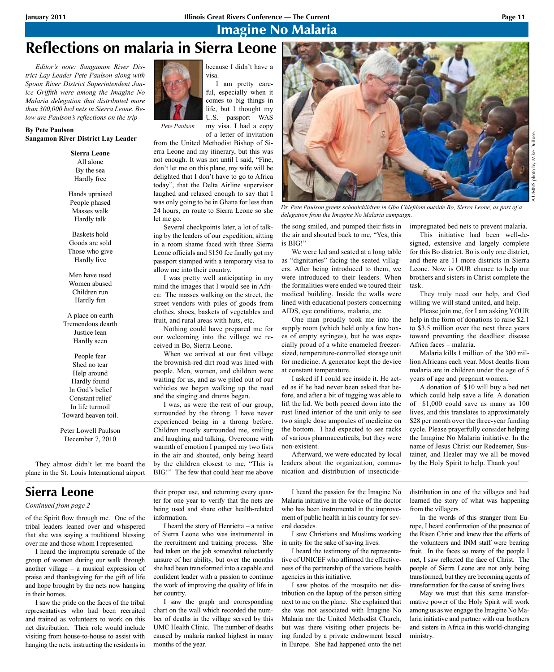because I didn't have a

I am pretty careful, especially when it comes to big things in life, but I thought my U.S. passport WAS my visa. I had a copy of a letter of invitation

visa.

from the United Methodist Bishop of Sierra Leone and my itinerary, but this was not enough. It was not until I said, "Fine, don't let me on this plane, my wife will be delighted that I don't have to go to Africa today", that the Delta Airline supervisor laughed and relaxed enough to say that I was only going to be in Ghana for less than 24 hours, en route to Sierra Leone so she

Several checkpoints later, a lot of talking by the leaders of our expedition, sitting in a room shame faced with three Sierra Leone officials and \$150 fee finally got my passport stamped with a temporary visa to

I was pretty well anticipating in my mind the images that I would see in Africa: The masses walking on the street, the street vendors with piles of goods from clothes, shoes, baskets of vegetables and fruit, and rural areas with huts, etc.

Nothing could have prepared me for our welcoming into the village we re-

When we arrived at our first village the brownish-red dirt road was lined with people. Men, women, and children were waiting for us, and as we piled out of our vehicles we began walking up the road

I was, as were the rest of our group, surrounded by the throng. I have never experienced being in a throng before. Children mostly surrounded me, smiling and laughing and talking. Overcome with warmth of emotion I pumped my two fists in the air and shouted, only being heard by the children closest to me, "This is BIG!" The few that could hear me above

allow me into their country.

ceived in Bo, Sierra Leone.

and the singing and drums began.

Imagine No Malaria

# **Reflections on malaria in Sierra Leone**

*Editor's note: Sangamon River District Lay Leader Pete Paulson along with Spoon River District Superintendent Janice Griffith were among the Imagine No Malaria delegation that distributed more than 300,000 bed nets in Sierra Leone. Below are Paulson's reflections on the trip*

#### **By Pete Paulson Sangamon River District Lay Leader**

**Sierra Leone** All alone By the sea Hardly free

Hands upraised People phased Masses walk Hardly talk

Baskets hold Goods are sold Those who give Hardly live

Men have used Women abused Children run Hardly fun

A place on earth Tremendous dearth Justice lean Hardly seen

People fear Shed no tear Help around Hardly found In God's belief Constant relief In life turmoil Toward heaven toil.

Peter Lowell Paulson December 7, 2010

They almost didn't let me board the plane in the St. Louis International airport

## **Sierra Leone**

#### *Continued from page 2*

of the Spirit flow through me. One of the tribal leaders leaned over and whispered that she was saying a traditional blessing over me and those whom I represented.

I heard the impromptu serenade of the group of women during our walk through another village – a musical expression of praise and thanksgiving for the gift of life and hope brought by the nets now hanging in their homes.

I saw the pride on the faces of the tribal representatives who had been recruited and trained as volunteers to work on this net distribution. Their role would include visiting from house-to-house to assist with hanging the nets, instructing the residents in

their proper use, and returning every quarter for one year to verify that the nets are being used and share other health-related information.

I heard the story of Henrietta – a native of Sierra Leone who was instrumental in the recruitment and training process. She had taken on the job somewhat reluctantly unsure of her ability, but over the months she had been transformed into a capable and confident leader with a passion to continue the work of improving the quality of life in her country.

I saw the graph and corresponding chart on the wall which recorded the number of deaths in the village served by this UMC Health Clinic. The number of deaths caused by malaria ranked highest in many months of the year.

I heard the passion for the Imagine No Malaria initiative in the voice of the doctor who has been instrumental in the improvement of public health in his country for several decades.

I saw Christians and Muslims working in unity for the sake of saving lives.

I heard the testimony of the representative of UNICEF who affirmed the effectiveness of the partnership of the various health agencies in this initiative.

I saw photos of the mosquito net distribution on the laptop of the person sitting next to me on the plane. She explained that she was not associated with Imagine No Malaria nor the United Methodist Church, but was there visiting other projects being funded by a private endowment based in Europe. She had happened onto the net

distribution in one of the villages and had learned the story of what was happening from the villagers.

In the words of this stranger from Europe, I heard confirmation of the presence of the Risen Christ and knew that the efforts of the volunteers and INM staff were bearing fruit. In the faces so many of the people I met, I saw reflected the face of Christ. The people of Sierra Leone are not only being transformed, but they are becoming agents of transformation for the cause of saving lives.

May we trust that this same transformative power of the Holy Spirit will work among us as we engage the Imagine No Malaria initiative and partner with our brothers and sisters in Africa in this world-changing ministry.

A UMNS photo by Mike DuBose.

*Dr. Pete Paulson greets schoolchildren in Gbo Chiefdom outside Bo, Sierra Leone, as part of a delegation from the Imagine No Malaria campaign.*

the song smiled, and pumped their fists in the air and shouted back to me, "Yes, this is BIG!"

We were led and seated at a long table as "dignitaries" facing the seated villagers. After being introduced to them, we were introduced to their leaders. When the formalities were ended we toured their medical building. Inside the walls were lined with educational posters concerning AIDS, eye conditions, malaria, etc.

One man proudly took me into the supply room (which held only a few boxes of empty syringes), but he was especially proud of a white enameled freezersized, temperature-controlled storage unit for medicine. A generator kept the device at constant temperature.

I asked if I could see inside it. He acted as if he had never been asked that before, and after a bit of tugging was able to lift the lid. We both peered down into the rust lined interior of the unit only to see two single dose ampoules of medicine on the bottom. I had expected to see racks of various pharmaceuticals, but they were non-existent.

Afterward, we were educated by local leaders about the organization, communication and distribution of insecticideThis initiative had been well-de-

signed, extensive and largely complete for this Bo district. Bo is only one district, and there are 11 more districts in Sierra Leone. Now is OUR chance to help our brothers and sisters in Christ complete the task.

They truly need our help, and God willing we will stand united, and help.

Please join me, for I am asking YOUR help in the form of donations to raise \$2.1 to \$3.5 million over the next three years toward preventing the deadliest disease Africa faces – malaria.

Malaria kills 1 million of the 300 million Africans each year. Most deaths from malaria are in children under the age of 5 years of age and pregnant women.

A donation of \$10 will buy a bed net which could help save a life. A donation of \$1,000 could save as many as 100 lives, and this translates to approximately \$28 per month over the three-year funding cycle. Please prayerfully consider helping the Imagine No Malaria initiative. In the name of Jesus Christ our Redeemer, Sustainer, and Healer may we all be moved by the Holy Spirit to help. Thank you!

impregnated bed nets to prevent malaria.



*Pete Paulson*

let me go.